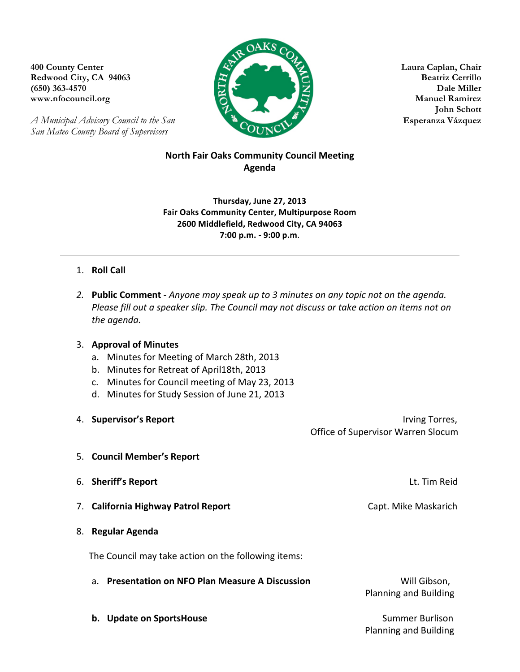$OAKS$ **400 County Center Laura Caplan, Chair Redwood City, CA 94063 Beatriz Cerrillo (650) 363-4570 Dale Miller www.nfocouncil.org Manuel Ramirez** 

**John Schott**

*A Municipal Advisory Council to the San Esperanza Vázquez Esperanza Vázquez San Mateo County Board of Supervisors*

# **North Fair Oaks Community Council Meeting Agenda**

**Thursday, June 27, 2013 Fair Oaks Community Center, Multipurpose Room 2600 Middlefield, Redwood City, CA 94063 7:00 p.m. - 9:00 p.m**.

# 1. **Roll Call**

2. **Public Comment** - *Anyone may speak up to 3 minutes on any topic not on the agenda. Please fill out a speaker slip. The Council may not discuss or take action on items not on the agenda.*

## 3. **Approval of Minutes**

- a. Minutes for Meeting of March 28th, 2013
- b. Minutes for Retreat of April18th, 2013
- c. Minutes for Council meeting of May 23, 2013
- d. Minutes for Study Session of June 21, 2013
- 4. **Supervisor's Report by a strategier of the strategier of the strategier of the strategier of the strategier of the strategier of the strategier of the strategier of the strategier of the strategier of the strategier** Office of Supervisor Warren Slocum 5. **Council Member's Report 6. Sheriff's Report** *Networth**CO CO <i>CO CO <i>CO CO CO CO CO* **7. California Highway Patrol Report** *Capt. Mike Maskarich Capt. Mike Maskarich* 8. **Regular Agenda** The Council may take action on the following items: a. **Presentation on NFO Plan Measure A Discussion** *NET Will Gibson,* Planning and Building
	- **b.** Update on SportsHouse **Account 10** and the summer Burlison

**Planning and Building**